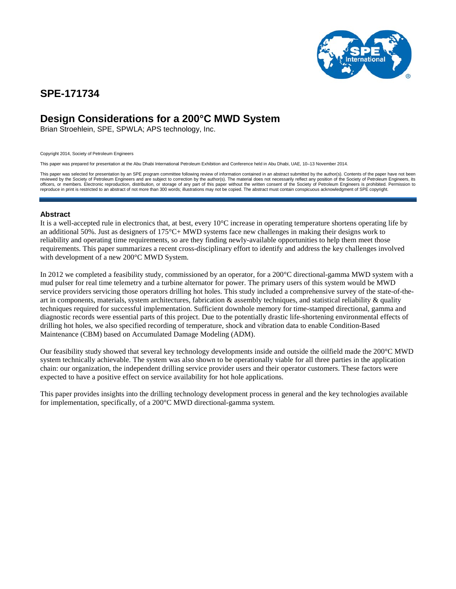

## **SPE-171734**

## **Design Considerations for a 200°C MWD System**

Brian Stroehlein, SPE, SPWLA; APS technology, Inc.

Copyright 2014, Society of Petroleum Engineers

This paper was prepared for presentation at the Abu Dhabi International Petroleum Exhibition and Conference held in Abu Dhabi, UAE, 10–13 November 2014.

This paper was selected for presentation by an SPE program committee following review of information contained in an abstract submitted by the author(s). Contents of the paper have not been reviewed by the Society of Petroleum Engineers and are subject to correction by the author(s). The material does not necessarily reflect any position of the Society of Petroleum Engineers, its officers, or members. Electronic reproduction, distribution, or storage of any part of this paper without the written consent of the Society of Petroleum Engineers is prohibited. Permission to reproduce in print is restricted to an abstract of not more than 300 words; illustrations may not be copied. The abstract must contain conspicuous acknowledgment of SPE copyright.

## **Abstract**

It is a well-accepted rule in electronics that, at best, every 10°C increase in operating temperature shortens operating life by an additional 50%. Just as designers of 175°C+ MWD systems face new challenges in making their designs work to reliability and operating time requirements, so are they finding newly-available opportunities to help them meet those requirements. This paper summarizes a recent cross-disciplinary effort to identify and address the key challenges involved with development of a new 200°C MWD System.

In 2012 we completed a feasibility study, commissioned by an operator, for a 200°C directional-gamma MWD system with a mud pulser for real time telemetry and a turbine alternator for power. The primary users of this system would be MWD service providers servicing those operators drilling hot holes. This study included a comprehensive survey of the state-of-theart in components, materials, system architectures, fabrication  $\&$  assembly techniques, and statistical reliability  $\&$  quality techniques required for successful implementation. Sufficient downhole memory for time-stamped directional, gamma and diagnostic records were essential parts of this project. Due to the potentially drastic life-shortening environmental effects of drilling hot holes, we also specified recording of temperature, shock and vibration data to enable Condition-Based Maintenance (CBM) based on Accumulated Damage Modeling (ADM).

Our feasibility study showed that several key technology developments inside and outside the oilfield made the 200°C MWD system technically achievable. The system was also shown to be operationally viable for all three parties in the application chain: our organization, the independent drilling service provider users and their operator customers. These factors were expected to have a positive effect on service availability for hot hole applications.

This paper provides insights into the drilling technology development process in general and the key technologies available for implementation, specifically, of a 200°C MWD directional-gamma system.